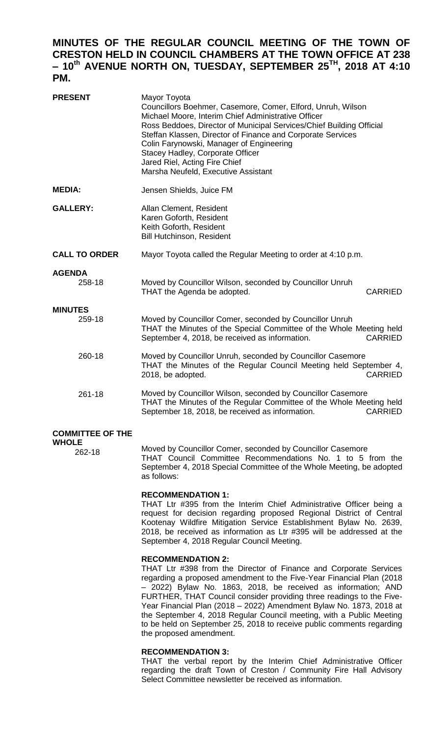# **MINUTES OF THE REGULAR COUNCIL MEETING OF THE TOWN OF CRESTON HELD IN COUNCIL CHAMBERS AT THE TOWN OFFICE AT 238 – 10 th AVENUE NORTH ON, TUESDAY, SEPTEMBER 25TH, 2018 AT 4:10 PM.**

| <b>PRESENT</b>           | Mayor Toyota<br>Councillors Boehmer, Casemore, Comer, Elford, Unruh, Wilson<br>Michael Moore, Interim Chief Administrative Officer<br>Ross Beddoes, Director of Municipal Services/Chief Building Official<br>Steffan Klassen, Director of Finance and Corporate Services<br>Colin Farynowski, Manager of Engineering<br>Stacey Hadley, Corporate Officer<br>Jared Riel, Acting Fire Chief<br>Marsha Neufeld, Executive Assistant |
|--------------------------|-----------------------------------------------------------------------------------------------------------------------------------------------------------------------------------------------------------------------------------------------------------------------------------------------------------------------------------------------------------------------------------------------------------------------------------|
| <b>MEDIA:</b>            | Jensen Shields, Juice FM                                                                                                                                                                                                                                                                                                                                                                                                          |
| <b>GALLERY:</b>          | Allan Clement, Resident<br>Karen Goforth, Resident<br>Keith Goforth, Resident<br><b>Bill Hutchinson, Resident</b>                                                                                                                                                                                                                                                                                                                 |
| <b>CALL TO ORDER</b>     | Mayor Toyota called the Regular Meeting to order at 4:10 p.m.                                                                                                                                                                                                                                                                                                                                                                     |
| <b>AGENDA</b><br>258-18  | Moved by Councillor Wilson, seconded by Councillor Unruh<br>THAT the Agenda be adopted.<br><b>CARRIED</b>                                                                                                                                                                                                                                                                                                                         |
| <b>MINUTES</b><br>259-18 | Moved by Councillor Comer, seconded by Councillor Unruh<br>THAT the Minutes of the Special Committee of the Whole Meeting held<br>September 4, 2018, be received as information.<br><b>CARRIED</b>                                                                                                                                                                                                                                |
| 260-18                   | Moved by Councillor Unruh, seconded by Councillor Casemore<br>THAT the Minutes of the Regular Council Meeting held September 4,<br>2018, be adopted.<br><b>CARRIED</b>                                                                                                                                                                                                                                                            |
| 261-18                   | Moved by Councillor Wilson, seconded by Councillor Casemore<br>THAT the Minutes of the Regular Committee of the Whole Meeting held<br>September 18, 2018, be received as information.<br><b>CARRIED</b>                                                                                                                                                                                                                           |
|                          |                                                                                                                                                                                                                                                                                                                                                                                                                                   |

#### **COMMITTEE OF THE WHOLE**

262-18

Moved by Councillor Comer, seconded by Councillor Casemore THAT Council Committee Recommendations No. 1 to 5 from the September 4, 2018 Special Committee of the Whole Meeting, be adopted as follows:

### **RECOMMENDATION 1:**

THAT Ltr #395 from the Interim Chief Administrative Officer being a request for decision regarding proposed Regional District of Central Kootenay Wildfire Mitigation Service Establishment Bylaw No. 2639, 2018, be received as information as Ltr #395 will be addressed at the September 4, 2018 Regular Council Meeting.

#### **RECOMMENDATION 2:**

THAT Ltr #398 from the Director of Finance and Corporate Services regarding a proposed amendment to the Five-Year Financial Plan (2018 – 2022) Bylaw No. 1863, 2018, be received as information; AND FURTHER, THAT Council consider providing three readings to the Five-Year Financial Plan (2018 – 2022) Amendment Bylaw No. 1873, 2018 at the September 4, 2018 Regular Council meeting, with a Public Meeting to be held on September 25, 2018 to receive public comments regarding the proposed amendment.

#### **RECOMMENDATION 3:**

THAT the verbal report by the Interim Chief Administrative Officer regarding the draft Town of Creston / Community Fire Hall Advisory Select Committee newsletter be received as information.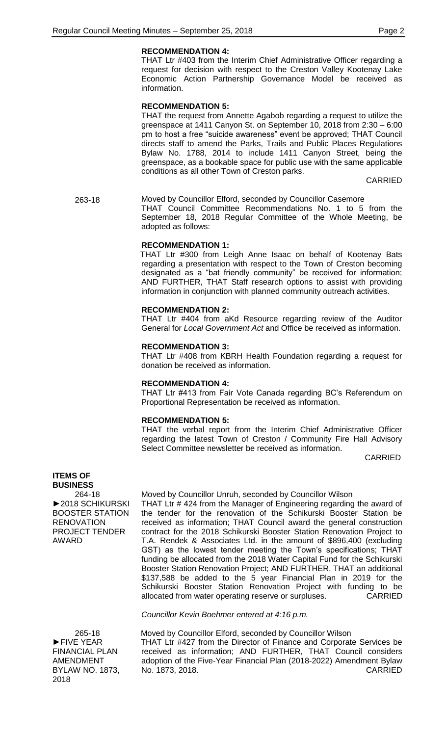#### **RECOMMENDATION 4:**

THAT Ltr #403 from the Interim Chief Administrative Officer regarding a request for decision with respect to the Creston Valley Kootenay Lake Economic Action Partnership Governance Model be received as information.

#### **RECOMMENDATION 5:**

THAT the request from Annette Agabob regarding a request to utilize the greenspace at 1411 Canyon St. on September 10, 2018 from 2:30 – 6:00 pm to host a free "suicide awareness" event be approved; THAT Council directs staff to amend the Parks, Trails and Public Places Regulations Bylaw No. 1788, 2014 to include 1411 Canyon Street, being the greenspace, as a bookable space for public use with the same applicable conditions as all other Town of Creston parks.

CARRIED

263-18 Moved by Councillor Elford, seconded by Councillor Casemore THAT Council Committee Recommendations No. 1 to 5 from the September 18, 2018 Regular Committee of the Whole Meeting, be adopted as follows:

#### **RECOMMENDATION 1:**

THAT Ltr #300 from Leigh Anne Isaac on behalf of Kootenay Bats regarding a presentation with respect to the Town of Creston becoming designated as a "bat friendly community" be received for information; AND FURTHER, THAT Staff research options to assist with providing information in conjunction with planned community outreach activities.

#### **RECOMMENDATION 2:**

THAT Ltr #404 from aKd Resource regarding review of the Auditor General for *Local Government Act* and Office be received as information.

#### **RECOMMENDATION 3:**

THAT Ltr #408 from KBRH Health Foundation regarding a request for donation be received as information.

### **RECOMMENDATION 4:**

THAT Ltr #413 from Fair Vote Canada regarding BC's Referendum on Proportional Representation be received as information.

### **RECOMMENDATION 5:**

THAT the verbal report from the Interim Chief Administrative Officer regarding the latest Town of Creston / Community Fire Hall Advisory Select Committee newsletter be received as information.

CARRIED

#### **ITEMS OF BUSINESS**

264-18 ►2018 SCHIKURSKI BOOSTER STATION **RENOVATION** PROJECT TENDER AWARD

Moved by Councillor Unruh, seconded by Councillor Wilson

THAT Ltr # 424 from the Manager of Engineering regarding the award of the tender for the renovation of the Schikurski Booster Station be received as information; THAT Council award the general construction contract for the 2018 Schikurski Booster Station Renovation Project to T.A. Rendek & Associates Ltd. in the amount of \$896,400 (excluding GST) as the lowest tender meeting the Town's specifications; THAT funding be allocated from the 2018 Water Capital Fund for the Schikurski Booster Station Renovation Project; AND FURTHER, THAT an additional \$137,588 be added to the 5 year Financial Plan in 2019 for the Schikurski Booster Station Renovation Project with funding to be allocated from water operating reserve or surpluses. CARRIED

#### *Councillor Kevin Boehmer entered at 4:16 p.m.*

265-18 ►FIVE YEAR FINANCIAL PLAN AMENDMENT BYLAW NO. 1873, 2018

Moved by Councillor Elford, seconded by Councillor Wilson THAT Ltr #427 from the Director of Finance and Corporate Services be received as information; AND FURTHER, THAT Council considers adoption of the Five-Year Financial Plan (2018-2022) Amendment Bylaw No. 1873, 2018. CARRIED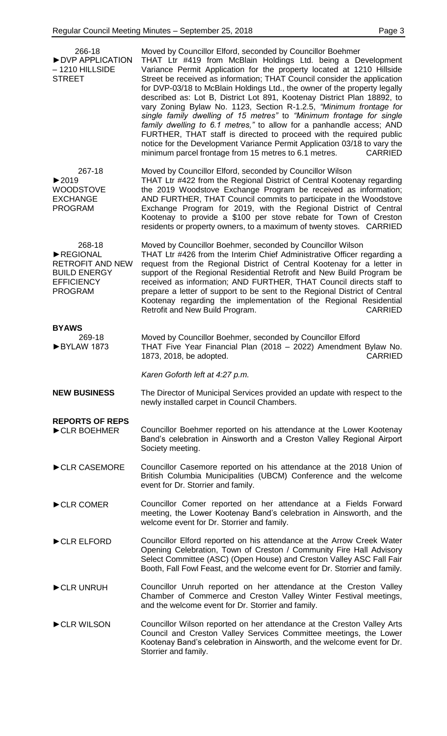| 266-18<br>DVP APPLICATION<br>$-1210$ HILLSIDE<br><b>STREET</b>                                              | Moved by Councillor Elford, seconded by Councillor Boehmer<br>THAT Ltr #419 from McBlain Holdings Ltd. being a Development<br>Variance Permit Application for the property located at 1210 Hillside<br>Street be received as information; THAT Council consider the application<br>for DVP-03/18 to McBlain Holdings Ltd., the owner of the property legally<br>described as: Lot B, District Lot 891, Kootenay District Plan 18892, to<br>vary Zoning Bylaw No. 1123, Section R-1.2.5, "Minimum frontage for<br>single family dwelling of 15 metres" to "Minimum frontage for single<br>family dwelling to 6.1 metres," to allow for a panhandle access; AND<br>FURTHER, THAT staff is directed to proceed with the required public<br>notice for the Development Variance Permit Application 03/18 to vary the<br>minimum parcel frontage from 15 metres to 6.1 metres.<br><b>CARRIED</b> |
|-------------------------------------------------------------------------------------------------------------|---------------------------------------------------------------------------------------------------------------------------------------------------------------------------------------------------------------------------------------------------------------------------------------------------------------------------------------------------------------------------------------------------------------------------------------------------------------------------------------------------------------------------------------------------------------------------------------------------------------------------------------------------------------------------------------------------------------------------------------------------------------------------------------------------------------------------------------------------------------------------------------------|
| 267-18<br>$\blacktriangleright$ 2019<br><b>WOODSTOVE</b><br><b>EXCHANGE</b><br><b>PROGRAM</b>               | Moved by Councillor Elford, seconded by Councillor Wilson<br>THAT Ltr #422 from the Regional District of Central Kootenay regarding<br>the 2019 Woodstove Exchange Program be received as information;<br>AND FURTHER, THAT Council commits to participate in the Woodstove<br>Exchange Program for 2019, with the Regional District of Central<br>Kootenay to provide a \$100 per stove rebate for Town of Creston<br>residents or property owners, to a maximum of twenty stoves. CARRIED                                                                                                                                                                                                                                                                                                                                                                                                 |
| 268-18<br>REGIONAL<br><b>RETROFIT AND NEW</b><br><b>BUILD ENERGY</b><br><b>EFFICIENCY</b><br><b>PROGRAM</b> | Moved by Councillor Boehmer, seconded by Councillor Wilson<br>THAT Ltr #426 from the Interim Chief Administrative Officer regarding a<br>request from the Regional District of Central Kootenay for a letter in<br>support of the Regional Residential Retrofit and New Build Program be<br>received as information; AND FURTHER, THAT Council directs staff to<br>prepare a letter of support to be sent to the Regional District of Central<br>Kootenay regarding the implementation of the Regional Residential<br><b>CARRIED</b><br>Retrofit and New Build Program.                                                                                                                                                                                                                                                                                                                     |
| <b>BYAWS</b>                                                                                                |                                                                                                                                                                                                                                                                                                                                                                                                                                                                                                                                                                                                                                                                                                                                                                                                                                                                                             |
| 269-18<br>BYLAW 1873                                                                                        | Moved by Councillor Boehmer, seconded by Councillor Elford<br>THAT Five Year Financial Plan (2018 - 2022) Amendment Bylaw No.<br>1873, 2018, be adopted.<br><b>CARRIED</b>                                                                                                                                                                                                                                                                                                                                                                                                                                                                                                                                                                                                                                                                                                                  |
|                                                                                                             | Karen Goforth left at 4:27 p.m.                                                                                                                                                                                                                                                                                                                                                                                                                                                                                                                                                                                                                                                                                                                                                                                                                                                             |
| <b>NEW BUSINESS</b>                                                                                         | The Director of Municipal Services provided an update with respect to the<br>newly installed carpet in Council Chambers.                                                                                                                                                                                                                                                                                                                                                                                                                                                                                                                                                                                                                                                                                                                                                                    |
| <b>REPORTS OF REPS</b><br>CLR BOEHMER                                                                       | Councillor Boehmer reported on his attendance at the Lower Kootenay<br>Band's celebration in Ainsworth and a Creston Valley Regional Airport<br>Society meeting.                                                                                                                                                                                                                                                                                                                                                                                                                                                                                                                                                                                                                                                                                                                            |
| CLR CASEMORE                                                                                                | Councillor Casemore reported on his attendance at the 2018 Union of<br>British Columbia Municipalities (UBCM) Conference and the welcome<br>event for Dr. Storrier and family.                                                                                                                                                                                                                                                                                                                                                                                                                                                                                                                                                                                                                                                                                                              |
| CLR COMER                                                                                                   | Councillor Comer reported on her attendance at a Fields Forward<br>meeting, the Lower Kootenay Band's celebration in Ainsworth, and the<br>welcome event for Dr. Storrier and family.                                                                                                                                                                                                                                                                                                                                                                                                                                                                                                                                                                                                                                                                                                       |
| CLR ELFORD                                                                                                  | Councillor Elford reported on his attendance at the Arrow Creek Water<br>Opening Celebration, Town of Creston / Community Fire Hall Advisory<br>Select Committee (ASC) (Open House) and Creston Valley ASC Fall Fair<br>Booth, Fall Fowl Feast, and the welcome event for Dr. Storrier and family.                                                                                                                                                                                                                                                                                                                                                                                                                                                                                                                                                                                          |
| CLR UNRUH                                                                                                   | Councillor Unruh reported on her attendance at the Creston Valley<br>Chamber of Commerce and Creston Valley Winter Festival meetings,<br>and the welcome event for Dr. Storrier and family.                                                                                                                                                                                                                                                                                                                                                                                                                                                                                                                                                                                                                                                                                                 |
| CLR WILSON                                                                                                  | Councillor Wilson reported on her attendance at the Creston Valley Arts<br>Council and Creston Valley Services Committee meetings, the Lower<br>Kootenay Band's celebration in Ainsworth, and the welcome event for Dr.<br>Storrier and family.                                                                                                                                                                                                                                                                                                                                                                                                                                                                                                                                                                                                                                             |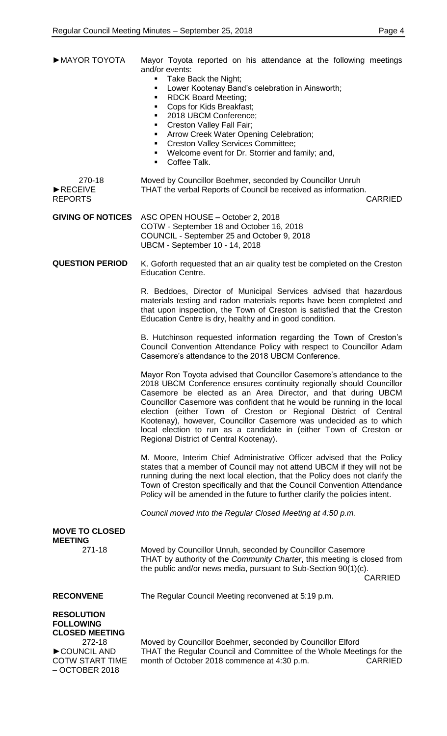| MAYOR TOYOTA                                              | Mayor Toyota reported on his attendance at the following meetings<br>and/or events:<br>Take Back the Night;<br>$\blacksquare$<br>Lower Kootenay Band's celebration in Ainsworth;<br>٠<br><b>RDCK Board Meeting;</b><br>٠<br>Cops for Kids Breakfast;<br>٠<br>• 2018 UBCM Conference;<br>Creston Valley Fall Fair;<br>٠<br>Arrow Creek Water Opening Celebration;<br>٠<br><b>Creston Valley Services Committee;</b><br><b>Barbara</b><br>• Welcome event for Dr. Storrier and family; and,<br>Coffee Talk.                                           |
|-----------------------------------------------------------|-----------------------------------------------------------------------------------------------------------------------------------------------------------------------------------------------------------------------------------------------------------------------------------------------------------------------------------------------------------------------------------------------------------------------------------------------------------------------------------------------------------------------------------------------------|
| 270-18<br>$\blacktriangleright$ RECEIVE<br><b>REPORTS</b> | Moved by Councillor Boehmer, seconded by Councillor Unruh<br>THAT the verbal Reports of Council be received as information.<br><b>CARRIED</b>                                                                                                                                                                                                                                                                                                                                                                                                       |
| <b>GIVING OF NOTICES</b>                                  | ASC OPEN HOUSE - October 2, 2018<br>COTW - September 18 and October 16, 2018<br>COUNCIL - September 25 and October 9, 2018<br>UBCM - September 10 - 14, 2018                                                                                                                                                                                                                                                                                                                                                                                        |
| <b>QUESTION PERIOD</b>                                    | K. Goforth requested that an air quality test be completed on the Creston<br><b>Education Centre.</b>                                                                                                                                                                                                                                                                                                                                                                                                                                               |
|                                                           | R. Beddoes, Director of Municipal Services advised that hazardous<br>materials testing and radon materials reports have been completed and<br>that upon inspection, the Town of Creston is satisfied that the Creston<br>Education Centre is dry, healthy and in good condition.                                                                                                                                                                                                                                                                    |
|                                                           | B. Hutchinson requested information regarding the Town of Creston's<br>Council Convention Attendance Policy with respect to Councillor Adam<br>Casemore's attendance to the 2018 UBCM Conference.                                                                                                                                                                                                                                                                                                                                                   |
|                                                           | Mayor Ron Toyota advised that Councillor Casemore's attendance to the<br>2018 UBCM Conference ensures continuity regionally should Councillor<br>Casemore be elected as an Area Director, and that during UBCM<br>Councillor Casemore was confident that he would be running in the local<br>election (either Town of Creston or Regional District of Central<br>Kootenay), however, Councillor Casemore was undecided as to which<br>local election to run as a candidate in (either Town of Creston or<br>Regional District of Central Kootenay). |
|                                                           | M. Moore, Interim Chief Administrative Officer advised that the Policy                                                                                                                                                                                                                                                                                                                                                                                                                                                                              |

M. Moore, states that a member of Council may not attend UBCM if they will not be running during the next local election, that the Policy does not clarify the Town of Creston specifically and that the Council Convention Attendance Policy will be amended in the future to further clarify the policies intent.

*Council moved into the Regular Closed Meeting at 4:50 p.m.*

|                                                                                                                                       | <u>Outhor moved into the riggilar Olosed McCling at 4.00 p.m.</u>                                                                                                                                                          |
|---------------------------------------------------------------------------------------------------------------------------------------|----------------------------------------------------------------------------------------------------------------------------------------------------------------------------------------------------------------------------|
| <b>MOVE TO CLOSED</b><br><b>MEETING</b>                                                                                               |                                                                                                                                                                                                                            |
| 271-18                                                                                                                                | Moved by Councillor Unruh, seconded by Councillor Casemore<br>THAT by authority of the Community Charter, this meeting is closed from<br>the public and/or news media, pursuant to Sub-Section 90(1)(c).<br><b>CARRIED</b> |
| <b>RECONVENE</b>                                                                                                                      | The Regular Council Meeting reconvened at 5:19 p.m.                                                                                                                                                                        |
| <b>RESOLUTION</b><br><b>FOLLOWING</b><br><b>CLOSED MEETING</b><br>272-18<br>COUNCIL AND<br><b>COTW START TIME</b><br>$-$ OCTOBER 2018 | Moved by Councillor Boehmer, seconded by Councillor Elford<br>THAT the Regular Council and Committee of the Whole Meetings for the<br>month of October 2018 commence at 4:30 p.m.<br><b>CARRIED</b>                        |